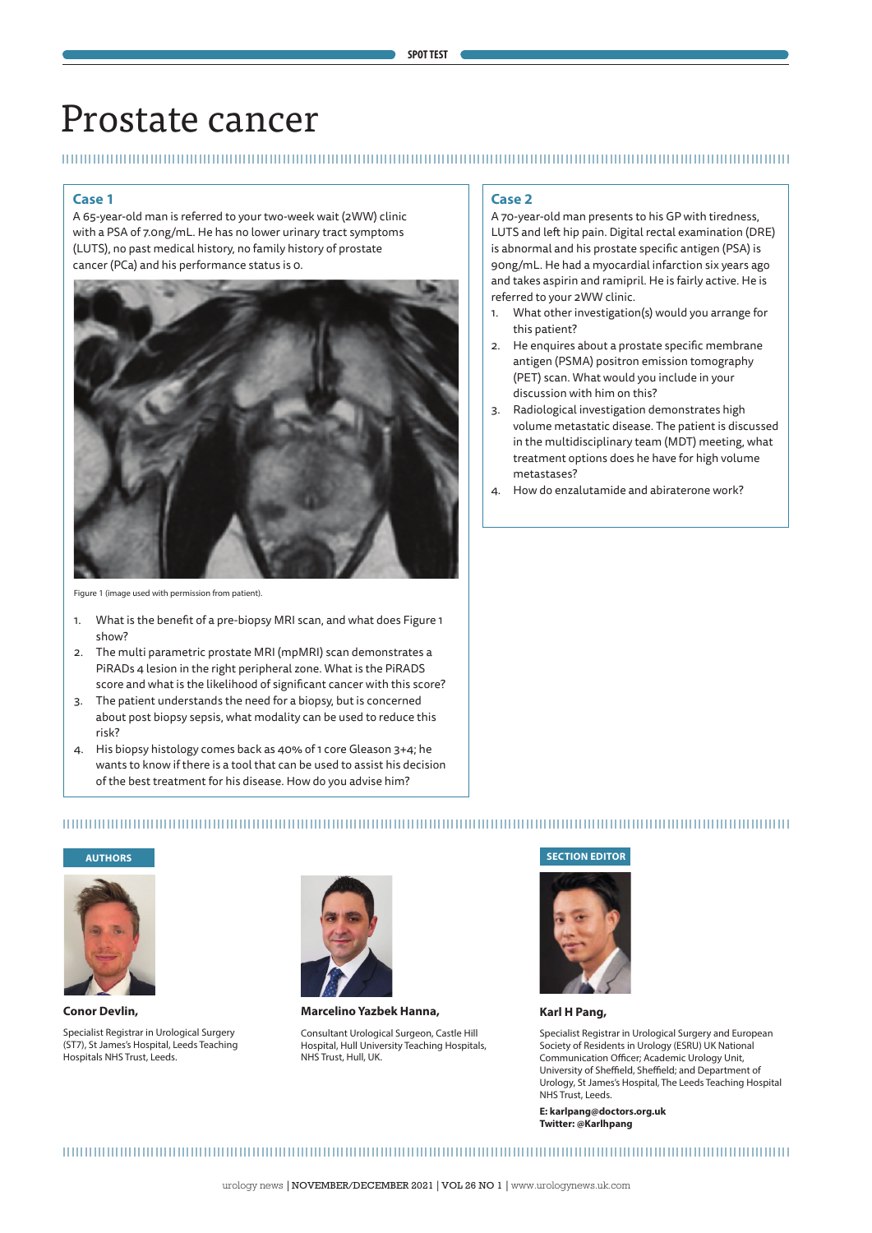# Prostate cancer

### **Case 1**

A 65-year-old man is referred to your two-week wait (2WW) clinic with a PSA of 7.0ng/mL. He has no lower urinary tract symptoms (LUTS), no past medical history, no family history of prostate cancer (PCa) and his performance status is 0.



Figure 1 (image used with permission from patient).

- 1. What is the benefit of a pre-biopsy MRI scan, and what does Figure 1 show?
- 2. The multi parametric prostate MRI (mpMRI) scan demonstrates a PiRADs 4 lesion in the right peripheral zone. What is the PiRADS score and what is the likelihood of significant cancer with this score?
- 3. The patient understands the need for a biopsy, but is concerned about post biopsy sepsis, what modality can be used to reduce this risk?
- 4. His biopsy histology comes back as 40% of 1 core Gleason 3+4; he wants to know if there is a tool that can be used to assist his decision of the best treatment for his disease. How do you advise him?

#### **Case 2**

A 70-year-old man presents to his GP with tiredness, LUTS and left hip pain. Digital rectal examination (DRE) is abnormal and his prostate specific antigen (PSA) is 90ng/mL. He had a myocardial infarction six years ago and takes aspirin and ramipril. He is fairly active. He is referred to your 2WW clinic.

- 1. What other investigation(s) would you arrange for this patient?
- 2. He enquires about a prostate specific membrane antigen (PSMA) positron emission tomography (PET) scan. What would you include in your discussion with him on this?
- 3. Radiological investigation demonstrates high volume metastatic disease. The patient is discussed in the multidisciplinary team (MDT) meeting, what treatment options does he have for high volume metastases?
- 4. How do enzalutamide and abiraterone work?

#### 



**Conor Devlin,**  Specialist Registrar in Urological Surgery (ST7), St James's Hospital, Leeds Teaching Hospitals NHS Trust, Leeds.



**Marcelino Yazbek Hanna,** 

Consultant Urological Surgeon, Castle Hill Hospital, Hull University Teaching Hospitals, NHS Trust, Hull, UK.

#### **AUTHORS SECTION EDITOR**



**Karl H Pang,** 

Specialist Registrar in Urological Surgery and European Society of Residents in Urology (ESRU) UK National Communication Officer; Academic Urology Unit, University of Sheffield, Sheffield; and Department of Urology, St James's Hospital, The Leeds Teaching Hospital NHS Trust, Leeds.

**E: karlpang@doctors.org.uk Twitter: @Karlhpang**